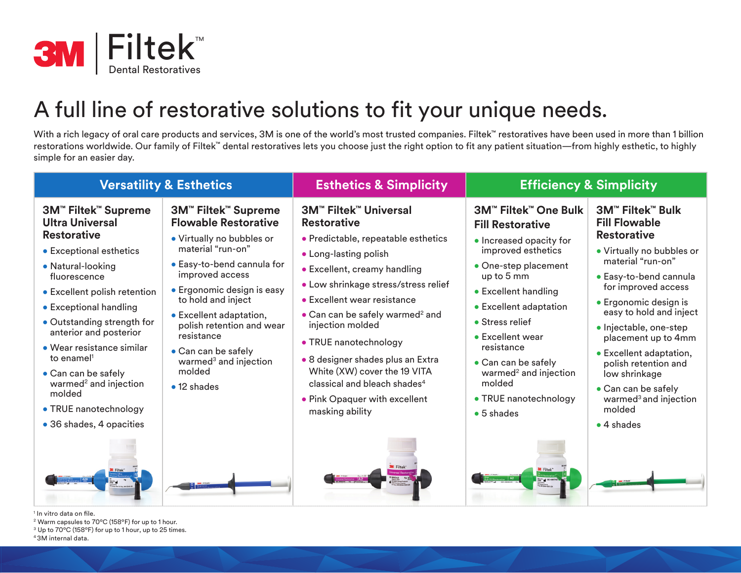

## A full line of restorative solutions to fit your unique needs.

With a rich legacy of oral care products and services, 3M is one of the world's most trusted companies. Filtek™ restoratives have been used in more than 1 billion restorations worldwide. Our family of Filtek™ dental restoratives lets you choose just the right option to fit any patient situation—from highly esthetic, to highly simple for an easier day.

| <b>Versatility &amp; Esthetics</b>                                                                                                                                                                                                                                                                                                                                                                                                                                           |                                                                                                                                                                                                                                                                                                                                                                              | <b>Esthetics &amp; Simplicity</b>                                                                                                                                                                                                                                                                                                                                                                                                                                                          | <b>Efficiency &amp; Simplicity</b>                                                                                                                                                                                                                                                                                                                                 |                                                                                                                                                                                                                                                                                                                                                                                                                                               |
|------------------------------------------------------------------------------------------------------------------------------------------------------------------------------------------------------------------------------------------------------------------------------------------------------------------------------------------------------------------------------------------------------------------------------------------------------------------------------|------------------------------------------------------------------------------------------------------------------------------------------------------------------------------------------------------------------------------------------------------------------------------------------------------------------------------------------------------------------------------|--------------------------------------------------------------------------------------------------------------------------------------------------------------------------------------------------------------------------------------------------------------------------------------------------------------------------------------------------------------------------------------------------------------------------------------------------------------------------------------------|--------------------------------------------------------------------------------------------------------------------------------------------------------------------------------------------------------------------------------------------------------------------------------------------------------------------------------------------------------------------|-----------------------------------------------------------------------------------------------------------------------------------------------------------------------------------------------------------------------------------------------------------------------------------------------------------------------------------------------------------------------------------------------------------------------------------------------|
| <b>3M<sup>™</sup> Filtek<sup>™</sup> Supreme</b><br><b>Ultra Universal</b><br><b>Restorative</b><br>• Exceptional esthetics<br>• Natural-looking<br>fluorescence<br>• Excellent polish retention<br>• Exceptional handling<br>• Outstanding strength for<br>anterior and posterior<br>$\bullet$ Wear resistance similar<br>to enamel <sup>1</sup><br>• Can can be safely<br>warmed <sup>2</sup> and injection<br>molded<br>• TRUE nanotechnology<br>• 36 shades, 4 opacities | 3M™ Filtek™ Supreme<br><b>Flowable Restorative</b><br>• Virtually no bubbles or<br>material "run-on"<br>• Easy-to-bend cannula for<br>improved access<br>• Ergonomic design is easy<br>to hold and inject<br>• Excellent adaptation,<br>polish retention and wear<br>resistance<br>• Can can be safely<br>warmed <sup>3</sup> and injection<br>molded<br>$\bullet$ 12 shades | <b>3M™ Filtek™ Universal</b><br><b>Restorative</b><br>· Predictable, repeatable esthetics<br>• Long-lasting polish<br>• Excellent, creamy handling<br>. Low shrinkage stress/stress relief<br>• Excellent wear resistance<br>• Can can be safely warmed <sup>2</sup> and<br>injection molded<br>• TRUE nanotechnology<br>· 8 designer shades plus an Extra<br>White (XW) cover the 19 VITA<br>classical and bleach shades <sup>4</sup><br>• Pink Opaquer with excellent<br>masking ability | 3M™ Filtek™ One Bulk<br><b>Fill Restorative</b><br>• Increased opacity for<br>improved esthetics<br>• One-step placement<br>up to 5 mm<br>• Excellent handling<br>• Excellent adaptation<br>• Stress relief<br>• Excellent wear<br>resistance<br>• Can can be safely<br>warmed <sup>2</sup> and injection<br>molded<br>• TRUE nanotechnology<br>$\bullet$ 5 shades | <b>3M™ Filtek™ Bulk</b><br><b>Fill Flowable</b><br><b>Restorative</b><br>• Virtually no bubbles or<br>material "run-on"<br>• Easy-to-bend cannula<br>for improved access<br>• Ergonomic design is<br>easy to hold and inject<br>· Injectable, one-step<br>placement up to 4mm<br>• Excellent adaptation,<br>polish retention and<br>low shrinkage<br>• Can can be safely<br>warmed <sup>3</sup> and injection<br>molded<br>$\bullet$ 4 shades |
|                                                                                                                                                                                                                                                                                                                                                                                                                                                                              |                                                                                                                                                                                                                                                                                                                                                                              |                                                                                                                                                                                                                                                                                                                                                                                                                                                                                            |                                                                                                                                                                                                                                                                                                                                                                    |                                                                                                                                                                                                                                                                                                                                                                                                                                               |

1 In vitro data on file.

- 2 Warm capsules to 70ºC (158ºF) for up to 1 hour.
- 3 Up to 70ºC (158ºF) for up to 1 hour, up to 25 times.
- 4 3M internal data.